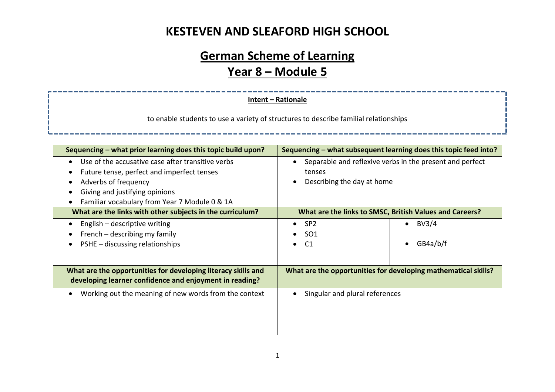# **German Scheme of Learning Year 8 – Module 5**

#### **Intent – Rationale**

to enable students to use a variety of structures to describe familial relationships

| Sequencing - what prior learning does this topic build upon?                                                                                                                                               | Sequencing – what subsequent learning does this topic feed into?                                     |  |  |
|------------------------------------------------------------------------------------------------------------------------------------------------------------------------------------------------------------|------------------------------------------------------------------------------------------------------|--|--|
| Use of the accusative case after transitive verbs<br>Future tense, perfect and imperfect tenses<br>Adverbs of frequency<br>Giving and justifying opinions<br>Familiar vocabulary from Year 7 Module 0 & 1A | Separable and reflexive verbs in the present and perfect<br>tenses<br>Describing the day at home     |  |  |
| What are the links with other subjects in the curriculum?                                                                                                                                                  | What are the links to SMSC, British Values and Careers?                                              |  |  |
| English - descriptive writing<br>French – describing my family<br>PSHE - discussing relationships                                                                                                          | BV3/4<br>SP <sub>2</sub><br>$\bullet$<br>$\bullet$<br>SO <sub>1</sub><br>GB4a/b/f<br>C1<br>$\bullet$ |  |  |
| What are the opportunities for developing literacy skills and<br>developing learner confidence and enjoyment in reading?                                                                                   | What are the opportunities for developing mathematical skills?                                       |  |  |
| Working out the meaning of new words from the context                                                                                                                                                      | Singular and plural references                                                                       |  |  |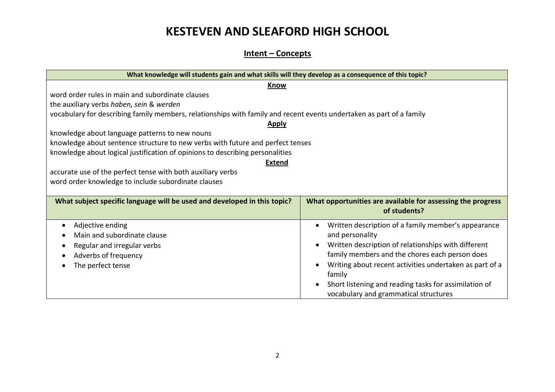#### **Intent – Concepts**

| What knowledge will students gain and what skills will they develop as a consequence of this topic?                  |                                                             |  |  |  |
|----------------------------------------------------------------------------------------------------------------------|-------------------------------------------------------------|--|--|--|
| <b>Know</b>                                                                                                          |                                                             |  |  |  |
| word order rules in main and subordinate clauses                                                                     |                                                             |  |  |  |
| the auxiliary verbs haben, sein & werden                                                                             |                                                             |  |  |  |
| vocabulary for describing family members, relationships with family and recent events undertaken as part of a family |                                                             |  |  |  |
| <b>Apply</b>                                                                                                         |                                                             |  |  |  |
| knowledge about language patterns to new nouns                                                                       |                                                             |  |  |  |
| knowledge about sentence structure to new verbs with future and perfect tenses                                       |                                                             |  |  |  |
| knowledge about logical justification of opinions to describing personalities                                        |                                                             |  |  |  |
| <b>Extend</b>                                                                                                        |                                                             |  |  |  |
| accurate use of the perfect tense with both auxiliary verbs                                                          |                                                             |  |  |  |
| word order knowledge to include subordinate clauses                                                                  |                                                             |  |  |  |
|                                                                                                                      |                                                             |  |  |  |
| What subject specific language will be used and developed in this topic?                                             | What opportunities are available for assessing the progress |  |  |  |
|                                                                                                                      | of students?                                                |  |  |  |
| Adjective ending                                                                                                     | Written description of a family member's appearance         |  |  |  |
| Main and subordinate clause                                                                                          | and personality                                             |  |  |  |
| Regular and irregular verbs                                                                                          | Written description of relationships with different         |  |  |  |
| Adverbs of frequency                                                                                                 | family members and the chores each person does              |  |  |  |
| The perfect tense                                                                                                    | Writing about recent activities undertaken as part of a     |  |  |  |
|                                                                                                                      | family                                                      |  |  |  |
|                                                                                                                      | Short listening and reading tasks for assimilation of       |  |  |  |
|                                                                                                                      | vocabulary and grammatical structures                       |  |  |  |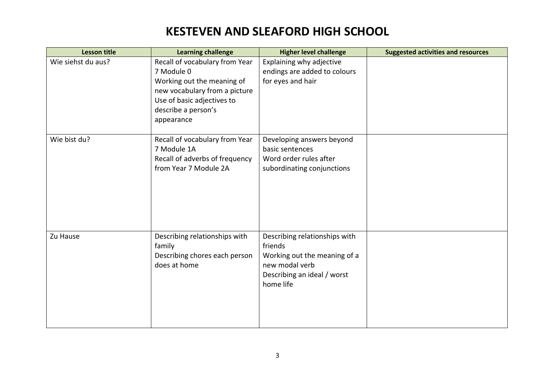| <b>Lesson title</b> | <b>Learning challenge</b>                                                                                                                                                      | <b>Higher level challenge</b>                                                                                                          | <b>Suggested activities and resources</b> |
|---------------------|--------------------------------------------------------------------------------------------------------------------------------------------------------------------------------|----------------------------------------------------------------------------------------------------------------------------------------|-------------------------------------------|
| Wie siehst du aus?  | Recall of vocabulary from Year<br>7 Module 0<br>Working out the meaning of<br>new vocabulary from a picture<br>Use of basic adjectives to<br>describe a person's<br>appearance | Explaining why adjective<br>endings are added to colours<br>for eyes and hair                                                          |                                           |
| Wie bist du?        | Recall of vocabulary from Year<br>7 Module 1A<br>Recall of adverbs of frequency<br>from Year 7 Module 2A                                                                       | Developing answers beyond<br>basic sentences<br>Word order rules after<br>subordinating conjunctions                                   |                                           |
| Zu Hause            | Describing relationships with<br>family<br>Describing chores each person<br>does at home                                                                                       | Describing relationships with<br>friends<br>Working out the meaning of a<br>new modal verb<br>Describing an ideal / worst<br>home life |                                           |